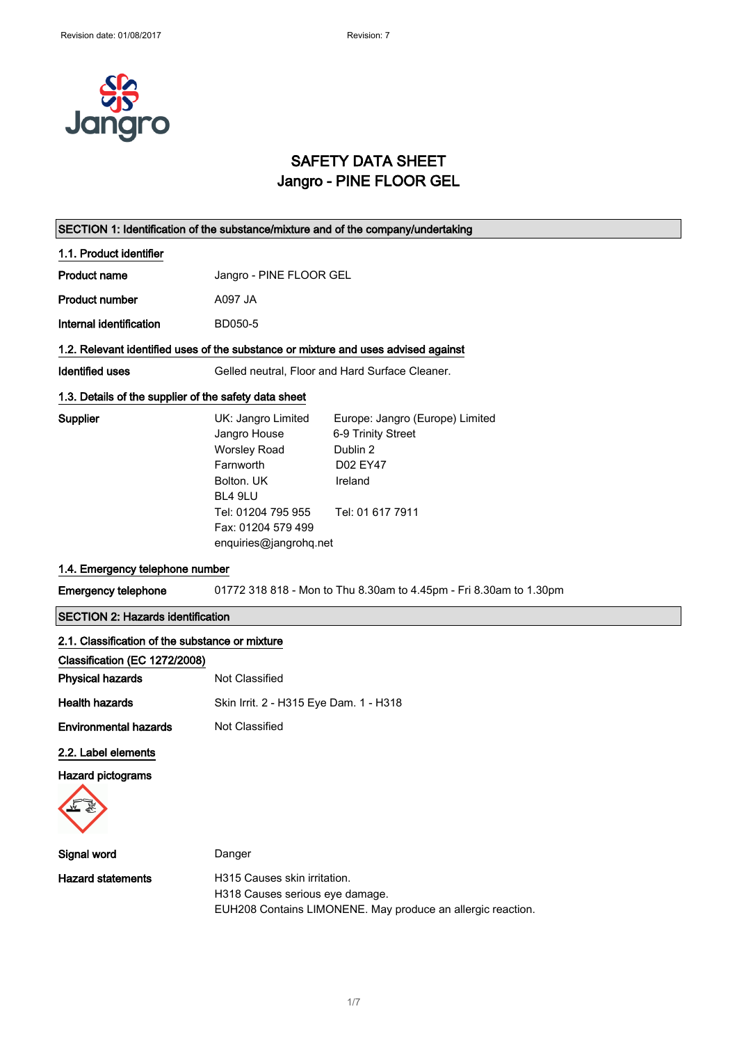

## SAFETY DATA SHEET Jangro - PINE FLOOR GEL

### SECTION 1: Identification of the substance/mixture and of the company/undertaking

- 1.1. Product identifier
- Product name **Jangro** PINE FLOOR GEL

Product number A097 JA

Internal identification BD050-5

#### 1.2. Relevant identified uses of the substance or mixture and uses advised against

Identified uses Gelled neutral, Floor and Hard Surface Cleaner.

### 1.3. Details of the supplier of the safety data sheet

| <b>Supplier</b> | UK: Jangro Limited     | Europe: Jangro (Europe) Limited |
|-----------------|------------------------|---------------------------------|
|                 | Jangro House           | 6-9 Trinity Street              |
|                 | <b>Worsley Road</b>    | Dublin 2                        |
|                 | Farnworth              | D02 EY47                        |
|                 | Bolton, UK             | Ireland                         |
|                 | BL4 9LU                |                                 |
|                 | Tel: 01204 795 955     | Tel: 01 617 7911                |
|                 | Fax: 01204 579 499     |                                 |
|                 | enquiries@jangrohq.net |                                 |

### 1.4. Emergency telephone number

Emergency telephone 01772 318 818 - Mon to Thu 8.30am to 4.45pm - Fri 8.30am to 1.30pm

### SECTION 2: Hazards identification

| 2.1. Classification of the substance or mixture |                                                             |  |
|-------------------------------------------------|-------------------------------------------------------------|--|
| Classification (EC 1272/2008)                   |                                                             |  |
| <b>Physical hazards</b>                         | Not Classified                                              |  |
| <b>Health hazards</b>                           | Skin Irrit. 2 - H315 Eye Dam. 1 - H318                      |  |
| <b>Environmental hazards</b>                    | <b>Not Classified</b>                                       |  |
| 2.2. Label elements                             |                                                             |  |
| <b>Hazard pictograms</b>                        |                                                             |  |
|                                                 |                                                             |  |
| Signal word                                     | Danger                                                      |  |
| <b>Hazard statements</b>                        | H315 Causes skin irritation.                                |  |
|                                                 | H318 Causes serious eye damage.                             |  |
|                                                 | EUH208 Contains LIMONENE. May produce an allergic reaction. |  |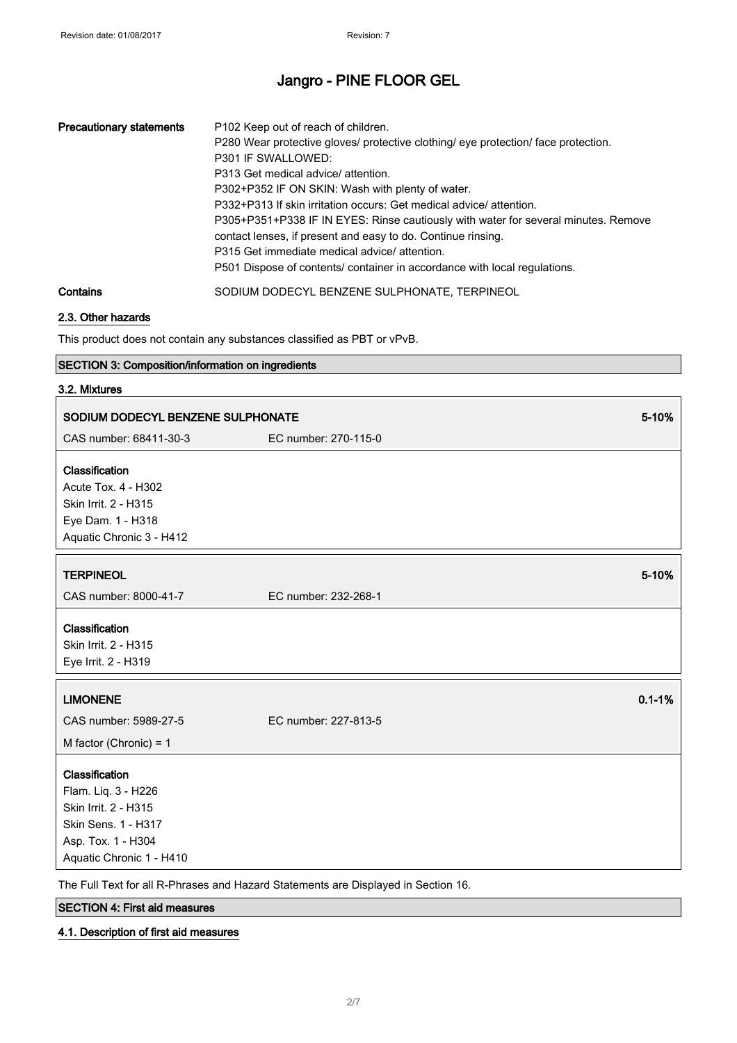| <b>Precautionary statements</b> | P102 Keep out of reach of children.<br>P280 Wear protective gloves/ protective clothing/ eye protection/ face protection.<br>P301 IF SWALLOWED:<br>P313 Get medical advice/ attention.<br>P302+P352 IF ON SKIN: Wash with plenty of water.<br>P332+P313 If skin irritation occurs: Get medical advice/attention.<br>P305+P351+P338 IF IN EYES: Rinse cautiously with water for several minutes. Remove<br>contact lenses, if present and easy to do. Continue rinsing.<br>P315 Get immediate medical advice/ attention.<br>P501 Dispose of contents/ container in accordance with local regulations. |
|---------------------------------|------------------------------------------------------------------------------------------------------------------------------------------------------------------------------------------------------------------------------------------------------------------------------------------------------------------------------------------------------------------------------------------------------------------------------------------------------------------------------------------------------------------------------------------------------------------------------------------------------|
| Contains                        | SODIUM DODECYL BENZENE SULPHONATE, TERPINEOL                                                                                                                                                                                                                                                                                                                                                                                                                                                                                                                                                         |

## 2.3. Other hazards

This product does not contain any substances classified as PBT or vPvB.

## SECTION 3: Composition/information on ingredients

## 3.2. Mixtures

| SODIUM DODECYL BENZENE SULPHONATE                                                                                                      | 5-10%                |
|----------------------------------------------------------------------------------------------------------------------------------------|----------------------|
| CAS number: 68411-30-3                                                                                                                 | EC number: 270-115-0 |
| Classification<br>Acute Tox. 4 - H302<br>Skin Irrit. 2 - H315<br>Eye Dam. 1 - H318<br>Aquatic Chronic 3 - H412                         |                      |
| <b>TERPINEOL</b>                                                                                                                       | 5-10%                |
| CAS number: 8000-41-7                                                                                                                  | EC number: 232-268-1 |
| Classification<br>Skin Irrit. 2 - H315<br>Eye Irrit. 2 - H319                                                                          |                      |
| <b>LIMONENE</b>                                                                                                                        | $0.1 - 1%$           |
| CAS number: 5989-27-5                                                                                                                  | EC number: 227-813-5 |
| M factor (Chronic) = $1$                                                                                                               |                      |
| Classification<br>Flam. Liq. 3 - H226<br>Skin Irrit. 2 - H315<br>Skin Sens. 1 - H317<br>Asp. Tox. 1 - H304<br>Aquatic Chronic 1 - H410 |                      |

SECTION 4: First aid measures

## 4.1. Description of first aid measures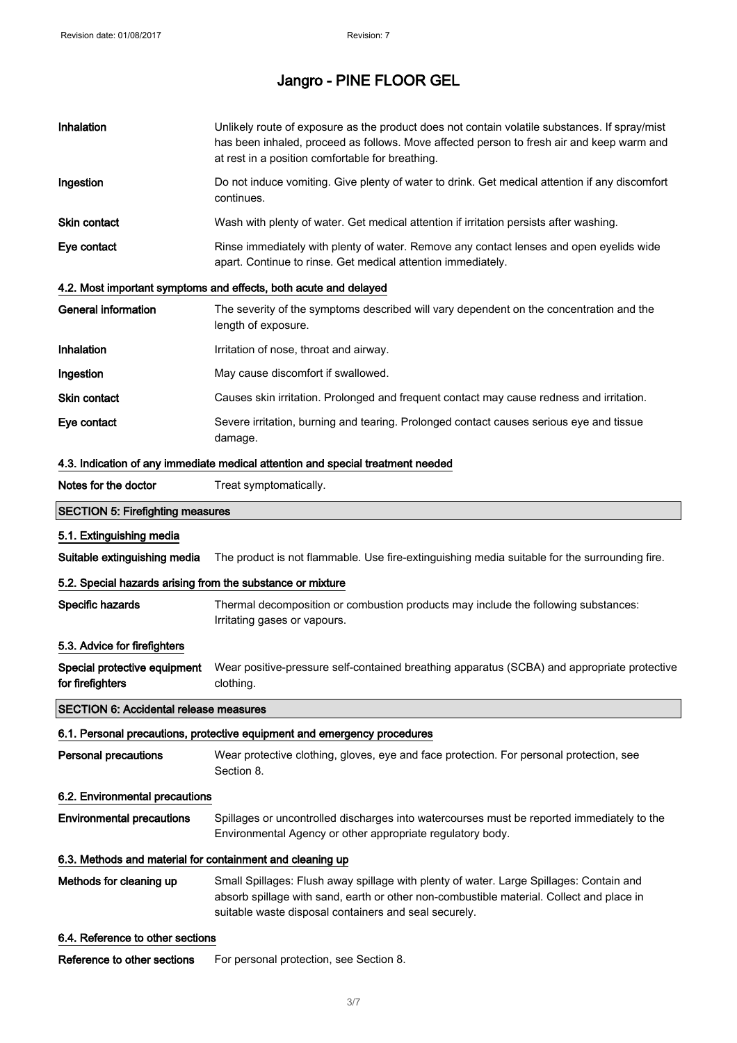| Inhalation                                                 | Unlikely route of exposure as the product does not contain volatile substances. If spray/mist<br>has been inhaled, proceed as follows. Move affected person to fresh air and keep warm and<br>at rest in a position comfortable for breathing. |
|------------------------------------------------------------|------------------------------------------------------------------------------------------------------------------------------------------------------------------------------------------------------------------------------------------------|
| Ingestion                                                  | Do not induce vomiting. Give plenty of water to drink. Get medical attention if any discomfort<br>continues.                                                                                                                                   |
| <b>Skin contact</b>                                        | Wash with plenty of water. Get medical attention if irritation persists after washing.                                                                                                                                                         |
| Eye contact                                                | Rinse immediately with plenty of water. Remove any contact lenses and open eyelids wide<br>apart. Continue to rinse. Get medical attention immediately.                                                                                        |
|                                                            | 4.2. Most important symptoms and effects, both acute and delayed                                                                                                                                                                               |
| <b>General information</b>                                 | The severity of the symptoms described will vary dependent on the concentration and the<br>length of exposure.                                                                                                                                 |
| Inhalation                                                 | Irritation of nose, throat and airway.                                                                                                                                                                                                         |
| Ingestion                                                  | May cause discomfort if swallowed.                                                                                                                                                                                                             |
| Skin contact                                               | Causes skin irritation. Prolonged and frequent contact may cause redness and irritation.                                                                                                                                                       |
| Eye contact                                                | Severe irritation, burning and tearing. Prolonged contact causes serious eye and tissue<br>damage.                                                                                                                                             |
|                                                            | 4.3. Indication of any immediate medical attention and special treatment needed                                                                                                                                                                |
| Notes for the doctor                                       | Treat symptomatically.                                                                                                                                                                                                                         |
| <b>SECTION 5: Firefighting measures</b>                    |                                                                                                                                                                                                                                                |
| 5.1. Extinguishing media                                   |                                                                                                                                                                                                                                                |
| Suitable extinguishing media                               | The product is not flammable. Use fire-extinguishing media suitable for the surrounding fire.                                                                                                                                                  |
| 5.2. Special hazards arising from the substance or mixture |                                                                                                                                                                                                                                                |
| Specific hazards                                           | Thermal decomposition or combustion products may include the following substances:<br>Irritating gases or vapours.                                                                                                                             |
| 5.3. Advice for firefighters                               |                                                                                                                                                                                                                                                |
| for firefighters                                           | Special protective equipment Wear positive-pressure self-contained breathing apparatus (SCBA) and appropriate protective<br>clothing.                                                                                                          |
| <b>SECTION 6: Accidental release measures</b>              |                                                                                                                                                                                                                                                |
|                                                            | 6.1. Personal precautions, protective equipment and emergency procedures                                                                                                                                                                       |
| <b>Personal precautions</b>                                | Wear protective clothing, gloves, eye and face protection. For personal protection, see<br>Section 8.                                                                                                                                          |
| 6.2. Environmental precautions                             |                                                                                                                                                                                                                                                |
| <b>Environmental precautions</b>                           | Spillages or uncontrolled discharges into watercourses must be reported immediately to the<br>Environmental Agency or other appropriate regulatory body.                                                                                       |
| 6.3. Methods and material for containment and cleaning up  |                                                                                                                                                                                                                                                |
| Methods for cleaning up                                    | Small Spillages: Flush away spillage with plenty of water. Large Spillages: Contain and<br>absorb spillage with sand, earth or other non-combustible material. Collect and place in<br>suitable waste disposal containers and seal securely.   |
| 6.4. Reference to other sections                           |                                                                                                                                                                                                                                                |
| Reference to other sections                                | For personal protection, see Section 8.                                                                                                                                                                                                        |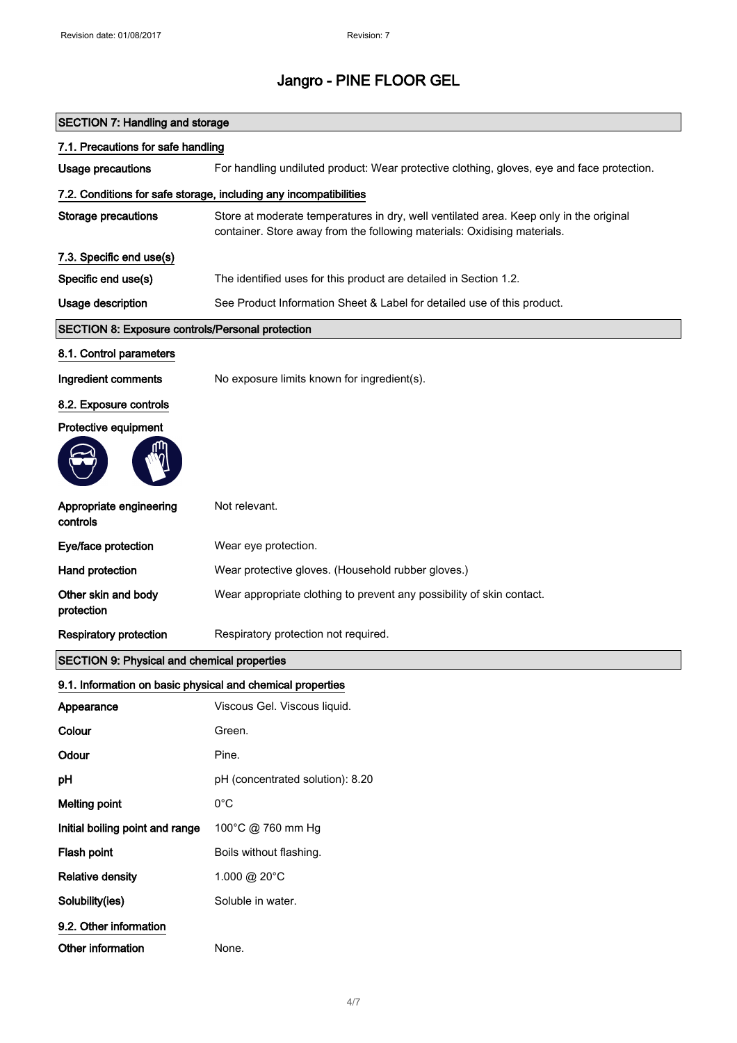| <b>SECTION 7: Handling and storage</b>                     |                                                                                                                                                                    |  |
|------------------------------------------------------------|--------------------------------------------------------------------------------------------------------------------------------------------------------------------|--|
| 7.1. Precautions for safe handling                         |                                                                                                                                                                    |  |
| <b>Usage precautions</b>                                   | For handling undiluted product: Wear protective clothing, gloves, eye and face protection.                                                                         |  |
|                                                            | 7.2. Conditions for safe storage, including any incompatibilities                                                                                                  |  |
| <b>Storage precautions</b>                                 | Store at moderate temperatures in dry, well ventilated area. Keep only in the original<br>container. Store away from the following materials: Oxidising materials. |  |
| 7.3. Specific end use(s)                                   |                                                                                                                                                                    |  |
| Specific end use(s)                                        | The identified uses for this product are detailed in Section 1.2.                                                                                                  |  |
| Usage description                                          | See Product Information Sheet & Label for detailed use of this product.                                                                                            |  |
| SECTION 8: Exposure controls/Personal protection           |                                                                                                                                                                    |  |
| 8.1. Control parameters                                    |                                                                                                                                                                    |  |
| Ingredient comments                                        | No exposure limits known for ingredient(s).                                                                                                                        |  |
| 8.2. Exposure controls                                     |                                                                                                                                                                    |  |
| Protective equipment                                       |                                                                                                                                                                    |  |
|                                                            |                                                                                                                                                                    |  |
| Appropriate engineering<br>controls                        | Not relevant.                                                                                                                                                      |  |
| Eye/face protection                                        | Wear eye protection.                                                                                                                                               |  |
| <b>Hand protection</b>                                     | Wear protective gloves. (Household rubber gloves.)                                                                                                                 |  |
| Other skin and body<br>protection                          | Wear appropriate clothing to prevent any possibility of skin contact.                                                                                              |  |
| <b>Respiratory protection</b>                              | Respiratory protection not required.                                                                                                                               |  |
| <b>SECTION 9: Physical and chemical properties</b>         |                                                                                                                                                                    |  |
| 9.1. Information on basic physical and chemical properties |                                                                                                                                                                    |  |
| Appearance                                                 | Viscous Gel. Viscous liquid.                                                                                                                                       |  |
| Colour                                                     | Green.                                                                                                                                                             |  |
| Odour                                                      | Pine.                                                                                                                                                              |  |
| pH                                                         | pH (concentrated solution): 8.20                                                                                                                                   |  |
| <b>Melting point</b>                                       | $0^{\circ}$ C                                                                                                                                                      |  |
| Initial boiling point and range                            | 100°C @ 760 mm Hg                                                                                                                                                  |  |
| Flash point                                                | Boils without flashing.                                                                                                                                            |  |
| <b>Relative density</b>                                    | 1.000 @ 20°C                                                                                                                                                       |  |
| Solubility(ies)                                            | Soluble in water.                                                                                                                                                  |  |
| 9.2. Other information                                     |                                                                                                                                                                    |  |
| Other information                                          | None.                                                                                                                                                              |  |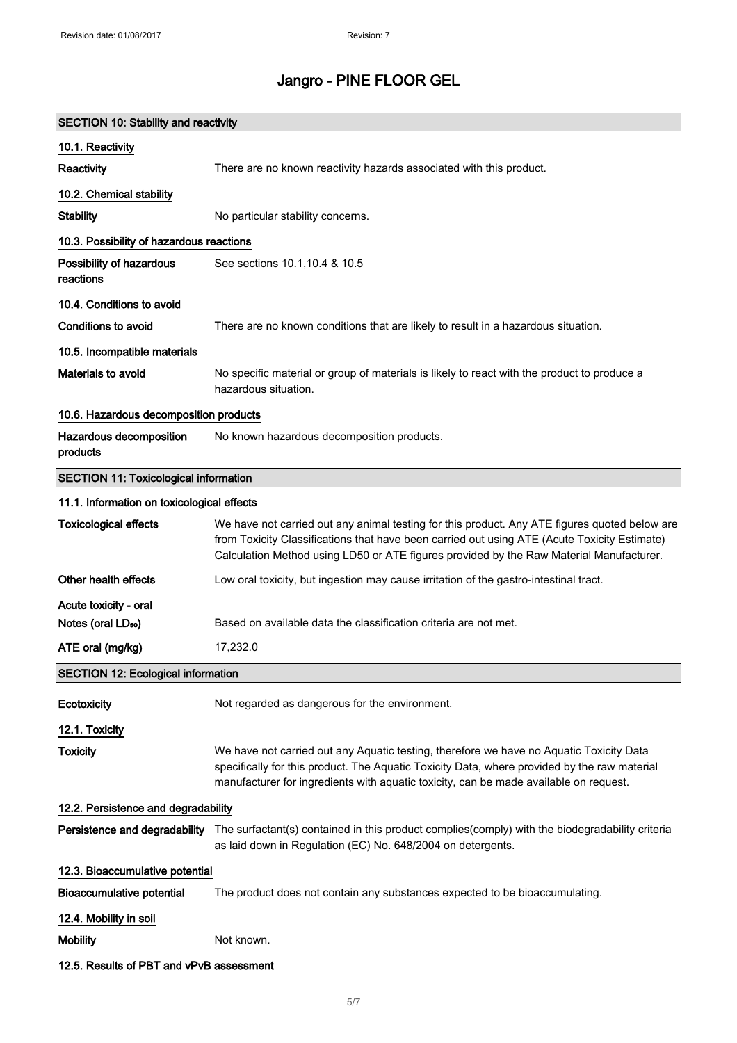| <b>SECTION 10: Stability and reactivity</b>  |                                                                                                                                                                                                                                                                                          |  |
|----------------------------------------------|------------------------------------------------------------------------------------------------------------------------------------------------------------------------------------------------------------------------------------------------------------------------------------------|--|
| 10.1. Reactivity                             |                                                                                                                                                                                                                                                                                          |  |
| Reactivity                                   | There are no known reactivity hazards associated with this product.                                                                                                                                                                                                                      |  |
| 10.2. Chemical stability                     |                                                                                                                                                                                                                                                                                          |  |
| <b>Stability</b>                             | No particular stability concerns.                                                                                                                                                                                                                                                        |  |
| 10.3. Possibility of hazardous reactions     |                                                                                                                                                                                                                                                                                          |  |
| Possibility of hazardous<br>reactions        | See sections 10.1, 10.4 & 10.5                                                                                                                                                                                                                                                           |  |
| 10.4. Conditions to avoid                    |                                                                                                                                                                                                                                                                                          |  |
| <b>Conditions to avoid</b>                   | There are no known conditions that are likely to result in a hazardous situation.                                                                                                                                                                                                        |  |
| 10.5. Incompatible materials                 |                                                                                                                                                                                                                                                                                          |  |
| Materials to avoid                           | No specific material or group of materials is likely to react with the product to produce a<br>hazardous situation.                                                                                                                                                                      |  |
| 10.6. Hazardous decomposition products       |                                                                                                                                                                                                                                                                                          |  |
| Hazardous decomposition<br>products          | No known hazardous decomposition products.                                                                                                                                                                                                                                               |  |
| <b>SECTION 11: Toxicological information</b> |                                                                                                                                                                                                                                                                                          |  |
| 11.1. Information on toxicological effects   |                                                                                                                                                                                                                                                                                          |  |
| <b>Toxicological effects</b>                 | We have not carried out any animal testing for this product. Any ATE figures quoted below are<br>from Toxicity Classifications that have been carried out using ATE (Acute Toxicity Estimate)<br>Calculation Method using LD50 or ATE figures provided by the Raw Material Manufacturer. |  |
| Other health effects                         | Low oral toxicity, but ingestion may cause irritation of the gastro-intestinal tract.                                                                                                                                                                                                    |  |
| Acute toxicity - oral                        |                                                                                                                                                                                                                                                                                          |  |
| Notes (oral LD <sub>50</sub> )               | Based on available data the classification criteria are not met.                                                                                                                                                                                                                         |  |
| ATE oral (mg/kg)                             | 17,232.0                                                                                                                                                                                                                                                                                 |  |
| <b>SECTION 12: Ecological information</b>    |                                                                                                                                                                                                                                                                                          |  |
| Ecotoxicity                                  | Not regarded as dangerous for the environment.                                                                                                                                                                                                                                           |  |
| 12.1. Toxicity                               |                                                                                                                                                                                                                                                                                          |  |
| <b>Toxicity</b>                              | We have not carried out any Aquatic testing, therefore we have no Aquatic Toxicity Data<br>specifically for this product. The Aquatic Toxicity Data, where provided by the raw material<br>manufacturer for ingredients with aquatic toxicity, can be made available on request.         |  |
| 12.2. Persistence and degradability          |                                                                                                                                                                                                                                                                                          |  |
|                                              | Persistence and degradability The surfactant(s) contained in this product complies(comply) with the biodegradability criteria<br>as laid down in Regulation (EC) No. 648/2004 on detergents.                                                                                             |  |
| 12.3. Bioaccumulative potential              |                                                                                                                                                                                                                                                                                          |  |
| <b>Bioaccumulative potential</b>             | The product does not contain any substances expected to be bioaccumulating.                                                                                                                                                                                                              |  |
| 12.4. Mobility in soil                       |                                                                                                                                                                                                                                                                                          |  |
| <b>Mobility</b>                              | Not known.                                                                                                                                                                                                                                                                               |  |
| 12.5. Results of PBT and vPvB assessment     |                                                                                                                                                                                                                                                                                          |  |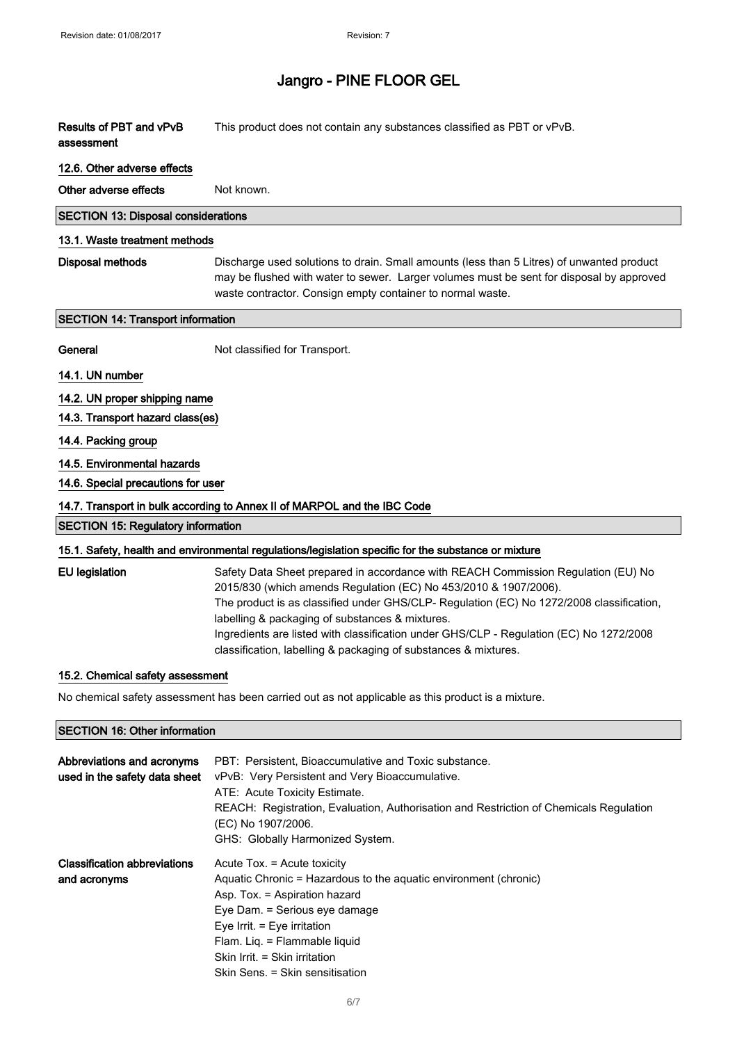| <b>Results of PBT and vPvB</b><br>assessment                | This product does not contain any substances classified as PBT or vPvB.                                                                                                                                                                                                                                                                                                                                                                                            |
|-------------------------------------------------------------|--------------------------------------------------------------------------------------------------------------------------------------------------------------------------------------------------------------------------------------------------------------------------------------------------------------------------------------------------------------------------------------------------------------------------------------------------------------------|
| 12.6. Other adverse effects                                 |                                                                                                                                                                                                                                                                                                                                                                                                                                                                    |
| Other adverse effects                                       | Not known.                                                                                                                                                                                                                                                                                                                                                                                                                                                         |
| <b>SECTION 13: Disposal considerations</b>                  |                                                                                                                                                                                                                                                                                                                                                                                                                                                                    |
| 13.1. Waste treatment methods                               |                                                                                                                                                                                                                                                                                                                                                                                                                                                                    |
| <b>Disposal methods</b>                                     | Discharge used solutions to drain. Small amounts (less than 5 Litres) of unwanted product<br>may be flushed with water to sewer. Larger volumes must be sent for disposal by approved<br>waste contractor. Consign empty container to normal waste.                                                                                                                                                                                                                |
| <b>SECTION 14: Transport information</b>                    |                                                                                                                                                                                                                                                                                                                                                                                                                                                                    |
| General                                                     | Not classified for Transport.                                                                                                                                                                                                                                                                                                                                                                                                                                      |
| 14.1. UN number                                             |                                                                                                                                                                                                                                                                                                                                                                                                                                                                    |
| 14.2. UN proper shipping name                               |                                                                                                                                                                                                                                                                                                                                                                                                                                                                    |
| 14.3. Transport hazard class(es)                            |                                                                                                                                                                                                                                                                                                                                                                                                                                                                    |
| 14.4. Packing group                                         |                                                                                                                                                                                                                                                                                                                                                                                                                                                                    |
| 14.5. Environmental hazards                                 |                                                                                                                                                                                                                                                                                                                                                                                                                                                                    |
| 14.6. Special precautions for user                          |                                                                                                                                                                                                                                                                                                                                                                                                                                                                    |
|                                                             | 14.7. Transport in bulk according to Annex II of MARPOL and the IBC Code                                                                                                                                                                                                                                                                                                                                                                                           |
| <b>SECTION 15: Regulatory information</b>                   |                                                                                                                                                                                                                                                                                                                                                                                                                                                                    |
|                                                             | 15.1. Safety, health and environmental regulations/legislation specific for the substance or mixture                                                                                                                                                                                                                                                                                                                                                               |
| <b>EU</b> legislation                                       | Safety Data Sheet prepared in accordance with REACH Commission Regulation (EU) No<br>2015/830 (which amends Regulation (EC) No 453/2010 & 1907/2006).<br>The product is as classified under GHS/CLP- Regulation (EC) No 1272/2008 classification,<br>labelling & packaging of substances & mixtures.<br>Ingredients are listed with classification under GHS/CLP - Regulation (EC) No 1272/2008<br>classification, labelling & packaging of substances & mixtures. |
| 15.2. Chemical safety assessment                            |                                                                                                                                                                                                                                                                                                                                                                                                                                                                    |
|                                                             | No chemical safety assessment has been carried out as not applicable as this product is a mixture.                                                                                                                                                                                                                                                                                                                                                                 |
| <b>SECTION 16: Other information</b>                        |                                                                                                                                                                                                                                                                                                                                                                                                                                                                    |
| Abbreviations and acronyms<br>used in the safety data sheet | PBT: Persistent, Bioaccumulative and Toxic substance.<br>vPvB: Very Persistent and Very Bioaccumulative.<br>ATE: Acute Toxicity Estimate.                                                                                                                                                                                                                                                                                                                          |

|                                     | REACH: Registration, Evaluation, Authorisation and Restriction of Chemicals Regulation<br>(EC) No 1907/2006.<br>GHS: Globally Harmonized System. |
|-------------------------------------|--------------------------------------------------------------------------------------------------------------------------------------------------|
| <b>Classification abbreviations</b> | Acute Tox. = Acute toxicity                                                                                                                      |
| and acronyms                        | Aquatic Chronic = Hazardous to the aquatic environment (chronic)                                                                                 |
|                                     | Asp. Tox. = Aspiration hazard                                                                                                                    |
|                                     | Eye Dam. = Serious eye damage                                                                                                                    |
|                                     | Eye Irrit. $=$ Eye irritation                                                                                                                    |
|                                     | Flam. Lig. = Flammable liguid                                                                                                                    |
|                                     | Skin Irrit. = Skin irritation                                                                                                                    |
|                                     | Skin Sens. = Skin sensitisation                                                                                                                  |